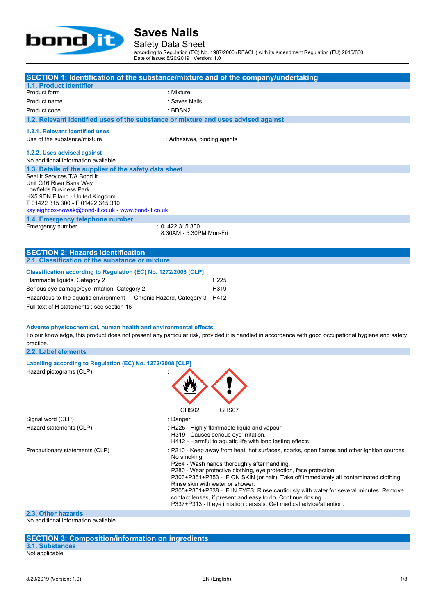

Safety Data Sheet

according to Regulation (EC) No. 1907/2006 (REACH) with its amendment Regulation (EU) 2015/830 Date of issue: 8/20/2019 Version: 1.0

|                                                                                    | SECTION 1: Identification of the substance/mixture and of the company/undertaking                                                                           |  |  |
|------------------------------------------------------------------------------------|-------------------------------------------------------------------------------------------------------------------------------------------------------------|--|--|
| 1.1. Product identifier                                                            |                                                                                                                                                             |  |  |
| Product form                                                                       | : Mixture                                                                                                                                                   |  |  |
| Product name                                                                       | : Saves Nails                                                                                                                                               |  |  |
| Product code                                                                       | : BDSN2                                                                                                                                                     |  |  |
| 1.2. Relevant identified uses of the substance or mixture and uses advised against |                                                                                                                                                             |  |  |
| 1.2.1. Relevant identified uses                                                    |                                                                                                                                                             |  |  |
| Use of the substance/mixture                                                       | : Adhesives, binding agents                                                                                                                                 |  |  |
| 1.2.2. Uses advised against                                                        |                                                                                                                                                             |  |  |
| No additional information available                                                |                                                                                                                                                             |  |  |
| 1.3. Details of the supplier of the safety data sheet                              |                                                                                                                                                             |  |  |
| Seal It Services T/A Bond It                                                       |                                                                                                                                                             |  |  |
| Unit G16 River Bank Way                                                            |                                                                                                                                                             |  |  |
| Lowfields Business Park<br>HX5 9DN Elland - United Kingdom                         |                                                                                                                                                             |  |  |
| T 01422 315 300 - F 01422 315 310                                                  |                                                                                                                                                             |  |  |
| kayleighcox-nowak@bond-it.co.uk - www.bond-it.co.uk                                |                                                                                                                                                             |  |  |
| 1.4. Emergency telephone number<br>Emergency number                                | :01422315300                                                                                                                                                |  |  |
|                                                                                    | 8.30AM - 5.30PM Mon-Fri                                                                                                                                     |  |  |
|                                                                                    |                                                                                                                                                             |  |  |
| <b>SECTION 2: Hazards identification</b>                                           |                                                                                                                                                             |  |  |
| 2.1. Classification of the substance or mixture                                    |                                                                                                                                                             |  |  |
| Classification according to Regulation (EC) No. 1272/2008 [CLP]                    |                                                                                                                                                             |  |  |
| Flammable liquids, Category 2                                                      | H <sub>225</sub>                                                                                                                                            |  |  |
| Serious eye damage/eye irritation, Category 2                                      | H <sub>3</sub> 19                                                                                                                                           |  |  |
| Hazardous to the aquatic environment — Chronic Hazard, Category 3 H412             |                                                                                                                                                             |  |  |
| Full text of H statements : see section 16                                         |                                                                                                                                                             |  |  |
|                                                                                    |                                                                                                                                                             |  |  |
|                                                                                    |                                                                                                                                                             |  |  |
| Adverse physicochemical, human health and environmental effects                    | To our knowledge, this product does not present any particular risk, provided it is handled in accordance with good occupational hygiene and safety         |  |  |
| practice.                                                                          |                                                                                                                                                             |  |  |
| 2.2. Label elements                                                                |                                                                                                                                                             |  |  |
| Labelling according to Regulation (EC) No. 1272/2008 [CLP]                         |                                                                                                                                                             |  |  |
| Hazard pictograms (CLP)                                                            |                                                                                                                                                             |  |  |
|                                                                                    |                                                                                                                                                             |  |  |
|                                                                                    |                                                                                                                                                             |  |  |
|                                                                                    |                                                                                                                                                             |  |  |
|                                                                                    |                                                                                                                                                             |  |  |
|                                                                                    | GHS02<br>GHS07                                                                                                                                              |  |  |
| Signal word (CLP)                                                                  | : Danger                                                                                                                                                    |  |  |
| Hazard statements (CLP)                                                            | : H225 - Highly flammable liquid and vapour.<br>H319 - Causes serious eye irritation.                                                                       |  |  |
|                                                                                    | H412 - Harmful to aquatic life with long lasting effects.                                                                                                   |  |  |
| Precautionary statements (CLP)                                                     | : P210 - Keep away from heat, hot surfaces, sparks, open flames and other ignition sources.                                                                 |  |  |
|                                                                                    | No smoking.                                                                                                                                                 |  |  |
|                                                                                    | P264 - Wash hands thoroughly after handling.                                                                                                                |  |  |
|                                                                                    | P280 - Wear protective clothing, eye protection, face protection.<br>P303+P361+P353 - IF ON SKIN (or hair): Take off immediately all contaminated clothing. |  |  |

**2.3. Other hazards**

No additional information available

#### **SECTION 3: Composition/information on ingredients**

**3.1. Substances** Not applicable

Rinse skin with water or shower.

contact lenses, if present and easy to do. Continue rinsing. P337+P313 - If eye irritation persists: Get medical advice/attention.

P305+P351+P338 - IF IN EYES: Rinse cautiously with water for several minutes. Remove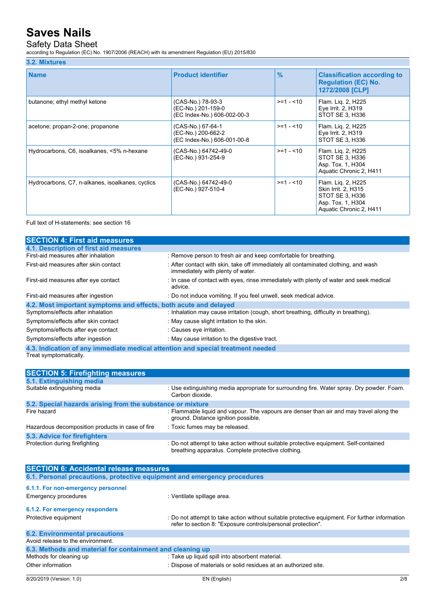### Safety Data Sheet

according to Regulation (EC) No. 1907/2006 (REACH) with its amendment Regulation (EU) 2015/830

#### **3.2. Mixtures**

| <b>Name</b>                                      | <b>Product identifier</b>                                              | $\frac{9}{6}$ | <b>Classification according to</b><br><b>Regulation (EC) No.</b><br>1272/2008 [CLP]                          |
|--------------------------------------------------|------------------------------------------------------------------------|---------------|--------------------------------------------------------------------------------------------------------------|
| butanone; ethyl methyl ketone                    | (CAS-No.) 78-93-3<br>(EC-No.) 201-159-0<br>(EC Index-No.) 606-002-00-3 | $>= 1 - 10$   | Flam. Lig. 2, H225<br>Eye Irrit. 2, H319<br>STOT SE 3, H336                                                  |
| acetone; propan-2-one; propanone                 | (CAS-No.) 67-64-1<br>(EC-No.) 200-662-2<br>(EC Index-No.) 606-001-00-8 | $>= 1 - 10$   | Flam. Lig. 2, H225<br>Eye Irrit. 2, H319<br>STOT SE 3, H336                                                  |
| Hydrocarbons, C6, isoalkanes, <5% n-hexane       | (CAS-No.) 64742-49-0<br>(EC-No.) 931-254-9                             | $>= 1 - 10$   | Flam. Liq. 2, H225<br>STOT SE 3, H336<br>Asp. Tox. 1, H304<br>Aquatic Chronic 2, H411                        |
| Hydrocarbons, C7, n-alkanes, isoalkanes, cyclics | (CAS-No.) 64742-49-0<br>(EC-No.) 927-510-4                             | $>= 1 - 10$   | Flam. Liq. 2, H225<br>Skin Irrit. 2, H315<br>STOT SE 3, H336<br>Asp. Tox. 1, H304<br>Aquatic Chronic 2, H411 |

Full text of H-statements: see section 16

| <b>SECTION 4: First aid measures</b>                                            |                                                                                                                          |
|---------------------------------------------------------------------------------|--------------------------------------------------------------------------------------------------------------------------|
| 4.1. Description of first aid measures                                          |                                                                                                                          |
| First-aid measures after inhalation                                             | : Remove person to fresh air and keep comfortable for breathing.                                                         |
| First-aid measures after skin contact                                           | : After contact with skin, take off immediately all contaminated clothing, and wash<br>immediately with plenty of water. |
| First-aid measures after eye contact                                            | : In case of contact with eyes, rinse immediately with plenty of water and seek medical<br>advice.                       |
| First-aid measures after ingestion                                              | : Do not induce vomiting. If you feel unwell, seek medical advice.                                                       |
| 4.2. Most important symptoms and effects, both acute and delayed                |                                                                                                                          |
| Symptoms/effects after inhalation                                               | : Inhalation may cause irritation (cough, short breathing, difficulty in breathing).                                     |
| Symptoms/effects after skin contact                                             | : May cause slight irritation to the skin.                                                                               |
| Symptoms/effects after eye contact                                              | : Causes eye irritation.                                                                                                 |
| Symptoms/effects after ingestion                                                | : May cause irritation to the digestive tract.                                                                           |
| 4.3. Indication of any immediate medical attention and special treatment needed |                                                                                                                          |
| Treat symptomatically.                                                          |                                                                                                                          |

**SECTION 5: Firefighting measures 5.1. Extinguishing media** Suitable extinguishing media : Use extinguishing media appropriate for surrounding fire. Water spray. Dry powder. Foam. Carbon dioxide. **5.2. Special hazards arising from the substance or mixture** : Flammable liquid and vapour. The vapours are denser than air and may travel along the ground. Distance ignition possible. Hazardous decomposition products in case of fire : Toxic fumes may be released. **5.3. Advice for firefighters** : Do not attempt to take action without suitable protective equipment. Self-contained breathing apparatus. Complete protective clothing.

| <b>SECTION 6: Accidental release measures</b>                            |                                                                                                                                                                |  |  |
|--------------------------------------------------------------------------|----------------------------------------------------------------------------------------------------------------------------------------------------------------|--|--|
| 6.1. Personal precautions, protective equipment and emergency procedures |                                                                                                                                                                |  |  |
| 6.1.1. For non-emergency personnel                                       |                                                                                                                                                                |  |  |
|                                                                          |                                                                                                                                                                |  |  |
| Emergency procedures                                                     | : Ventilate spillage area.                                                                                                                                     |  |  |
| 6.1.2. For emergency responders                                          |                                                                                                                                                                |  |  |
| Protective equipment                                                     | : Do not attempt to take action without suitable protective equipment. For further information<br>refer to section 8: "Exposure controls/personal protection". |  |  |
| <b>6.2. Environmental precautions</b>                                    |                                                                                                                                                                |  |  |
| Avoid release to the environment.                                        |                                                                                                                                                                |  |  |
| 6.3. Methods and material for containment and cleaning up                |                                                                                                                                                                |  |  |
| Methods for cleaning up                                                  | : Take up liquid spill into absorbent material.                                                                                                                |  |  |
| Other information                                                        | : Dispose of materials or solid residues at an authorized site.                                                                                                |  |  |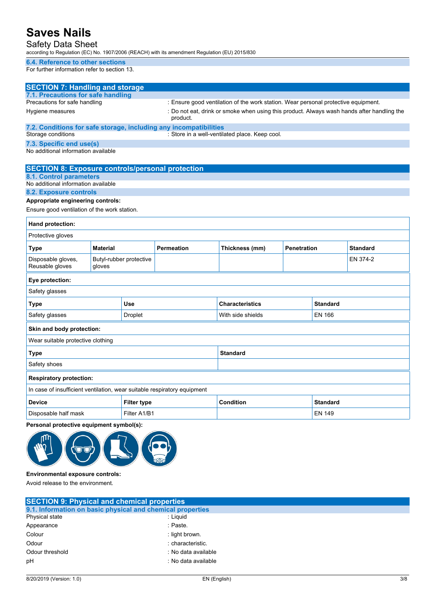Safety Data Sheet

according to Regulation (EC) No. 1907/2006 (REACH) with its amendment Regulation (EU) 2015/830

#### **6.4. Reference to other sections**

For further information refer to section 13.

| <b>SECTION 7: Handling and storage</b>                                   |                 |                         |                                                                                    |                                                                                            |                    |                 |                 |
|--------------------------------------------------------------------------|-----------------|-------------------------|------------------------------------------------------------------------------------|--------------------------------------------------------------------------------------------|--------------------|-----------------|-----------------|
| 7.1. Precautions for safe handling                                       |                 |                         |                                                                                    |                                                                                            |                    |                 |                 |
| Precautions for safe handling                                            |                 |                         | : Ensure good ventilation of the work station. Wear personal protective equipment. |                                                                                            |                    |                 |                 |
| Hygiene measures                                                         |                 |                         | product.                                                                           | : Do not eat, drink or smoke when using this product. Always wash hands after handling the |                    |                 |                 |
| 7.2. Conditions for safe storage, including any incompatibilities        |                 |                         |                                                                                    |                                                                                            |                    |                 |                 |
| Storage conditions                                                       |                 |                         |                                                                                    | : Store in a well-ventilated place. Keep cool.                                             |                    |                 |                 |
| 7.3. Specific end use(s)<br>No additional information available          |                 |                         |                                                                                    |                                                                                            |                    |                 |                 |
| <b>SECTION 8: Exposure controls/personal protection</b>                  |                 |                         |                                                                                    |                                                                                            |                    |                 |                 |
| <b>8.1. Control parameters</b><br>No additional information available    |                 |                         |                                                                                    |                                                                                            |                    |                 |                 |
| 8.2. Exposure controls                                                   |                 |                         |                                                                                    |                                                                                            |                    |                 |                 |
| Appropriate engineering controls:                                        |                 |                         |                                                                                    |                                                                                            |                    |                 |                 |
| Ensure good ventilation of the work station.                             |                 |                         |                                                                                    |                                                                                            |                    |                 |                 |
| Hand protection:                                                         |                 |                         |                                                                                    |                                                                                            |                    |                 |                 |
| Protective gloves                                                        |                 |                         |                                                                                    |                                                                                            |                    |                 |                 |
| <b>Type</b>                                                              | <b>Material</b> |                         | <b>Permeation</b>                                                                  | Thickness (mm)                                                                             | <b>Penetration</b> |                 | <b>Standard</b> |
| Disposable gloves,<br>Reusable gloves                                    | gloves          | Butyl-rubber protective |                                                                                    |                                                                                            |                    |                 | EN 374-2        |
| Eye protection:                                                          |                 |                         |                                                                                    |                                                                                            |                    |                 |                 |
| Safety glasses                                                           |                 |                         |                                                                                    |                                                                                            |                    |                 |                 |
| Type                                                                     |                 | Use                     |                                                                                    | <b>Characteristics</b>                                                                     |                    | <b>Standard</b> |                 |
| Safety glasses                                                           |                 | <b>Droplet</b>          |                                                                                    | With side shields                                                                          |                    | <b>EN 166</b>   |                 |
| Skin and body protection:                                                |                 |                         |                                                                                    |                                                                                            |                    |                 |                 |
| Wear suitable protective clothing                                        |                 |                         |                                                                                    |                                                                                            |                    |                 |                 |
| <b>Type</b>                                                              |                 |                         | <b>Standard</b>                                                                    |                                                                                            |                    |                 |                 |
| Safety shoes                                                             |                 |                         |                                                                                    |                                                                                            |                    |                 |                 |
| <b>Respiratory protection:</b>                                           |                 |                         |                                                                                    |                                                                                            |                    |                 |                 |
| In case of insufficient ventilation, wear suitable respiratory equipment |                 |                         |                                                                                    |                                                                                            |                    |                 |                 |
| <b>Device</b>                                                            |                 | <b>Filter type</b>      |                                                                                    | <b>Condition</b>                                                                           |                    | <b>Standard</b> |                 |
| Disposable half mask<br>Filter A1/B1                                     |                 |                         |                                                                                    |                                                                                            |                    | <b>EN 149</b>   |                 |
| Personal protective equipment symbol(s):                                 |                 |                         |                                                                                    |                                                                                            |                    |                 |                 |
|                                                                          |                 |                         |                                                                                    |                                                                                            |                    |                 |                 |

#### **Environmental exposure controls:**

Avoid release to the environment.

| <b>SECTION 9: Physical and chemical properties</b>         |                     |  |
|------------------------------------------------------------|---------------------|--|
| 9.1. Information on basic physical and chemical properties |                     |  |
| Physical state                                             | : Liauid            |  |
| Appearance                                                 | : Paste.            |  |
| Colour                                                     | : light brown.      |  |
| Odour                                                      | : characteristic.   |  |
| Odour threshold                                            | : No data available |  |
| pH                                                         | : No data available |  |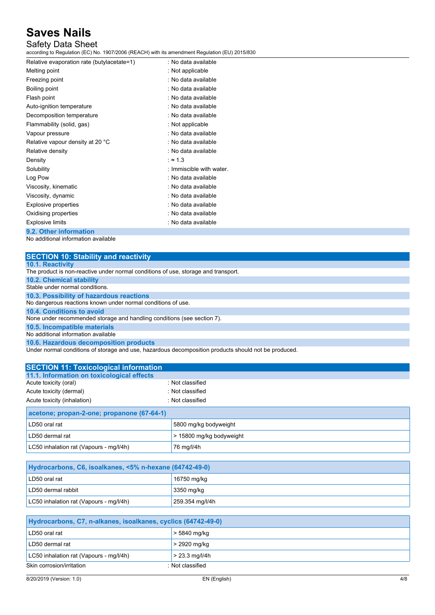### Safety Data Sheet

according to Regulation (EC) No. 1907/2006 (REACH) with its amendment Regulation (EU) 2015/830

| Relative evaporation rate (butylacetate=1) | . No data available      |
|--------------------------------------------|--------------------------|
| Melting point                              | : Not applicable         |
| Freezing point                             | : No data available      |
| <b>Boiling point</b>                       | : No data available      |
| Flash point                                | : No data available      |
| Auto-ignition temperature                  | : No data available      |
| Decomposition temperature                  | : No data available      |
| Flammability (solid, gas)                  | : Not applicable         |
| Vapour pressure                            | . No data available      |
| Relative vapour density at 20 °C           | : No data available      |
| Relative density                           | : No data available      |
| Density                                    | $: \approx 1.3$          |
| Solubility                                 | : Immiscible with water. |
| Log Pow                                    | : No data available      |
| Viscosity, kinematic                       | : No data available      |
| Viscosity, dynamic                         | : No data available      |
| <b>Explosive properties</b>                | : No data available      |
| Oxidising properties                       | : No data available      |
| <b>Explosive limits</b>                    | : No data available      |
| 9.2. Other information                     |                          |

No additional information available

| <b>SECTION 10: Stability and reactivity</b>                                                          |
|------------------------------------------------------------------------------------------------------|
| <b>10.1. Reactivity</b>                                                                              |
| The product is non-reactive under normal conditions of use, storage and transport.                   |
| <b>10.2. Chemical stability</b>                                                                      |
| Stable under normal conditions.                                                                      |
| 10.3. Possibility of hazardous reactions                                                             |
| No dangerous reactions known under normal conditions of use.                                         |
| 10.4. Conditions to avoid                                                                            |
| None under recommended storage and handling conditions (see section 7).                              |
| 10.5. Incompatible materials                                                                         |
| No additional information available                                                                  |
| 10.6. Hazardous decomposition products                                                               |
| Under normal conditions of storage and use, hazardous decomposition products should not be produced. |

| <b>SECTION 11: Toxicological information</b> |                  |  |
|----------------------------------------------|------------------|--|
| 11.1. Information on toxicological effects   |                  |  |
| Acute toxicity (oral)                        | : Not classified |  |
| Acute toxicity (dermal)                      | : Not classified |  |
| Acute toxicity (inhalation)                  | : Not classified |  |
| acetone; propan-2-one; propanone (67-64-1)   |                  |  |
|                                              |                  |  |

| LD50 oral rat                           | 5800 mg/kg bodyweight    |
|-----------------------------------------|--------------------------|
| LD50 dermal rat                         | > 15800 mg/kg bodyweight |
| LC50 inhalation rat (Vapours - mg/l/4h) | 76 mg/l/4h               |

| Hydrocarbons, C6, isoalkanes, <5% n-hexane (64742-49-0) |                 |  |
|---------------------------------------------------------|-----------------|--|
| LD50 oral rat                                           | 16750 mg/kg     |  |
| LD50 dermal rabbit                                      | 3350 mg/kg      |  |
| LC50 inhalation rat (Vapours - mg/l/4h)                 | 259.354 mg/l/4h |  |

| Hydrocarbons, C7, n-alkanes, isoalkanes, cyclics (64742-49-0) |                  |  |
|---------------------------------------------------------------|------------------|--|
| LD50 oral rat                                                 | .> 5840 mg/kg    |  |
| LD50 dermal rat                                               | > 2920 mg/kg     |  |
| LC50 inhalation rat (Vapours - mg/l/4h)                       | $> 23.3$ mg/l/4h |  |
| Skin corrosion/irritation                                     | : Not classified |  |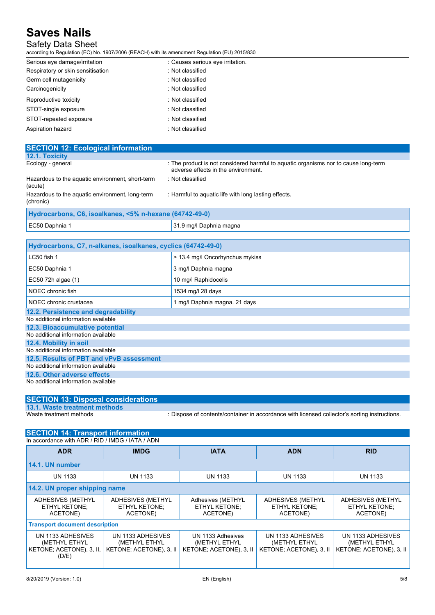### Safety Data Sheet

according to Regulation (EC) No. 1907/2006 (REACH) with its amendment Regulation (EU) 2015/830

| Serious eye damage/irritation     | : Causes serious eye irritation. |
|-----------------------------------|----------------------------------|
| Respiratory or skin sensitisation | : Not classified                 |
| Germ cell mutagenicity            | : Not classified                 |
| Carcinogenicity                   | : Not classified                 |
| Reproductive toxicity             | : Not classified                 |
| STOT-single exposure              | : Not classified                 |
| STOT-repeated exposure            | : Not classified                 |
| Aspiration hazard                 | : Not classified                 |

| <b>SECTION 12: Ecological information</b>                    |                                                                                                                            |
|--------------------------------------------------------------|----------------------------------------------------------------------------------------------------------------------------|
| 12.1. Toxicity                                               |                                                                                                                            |
| Ecology - general                                            | : The product is not considered harmful to aquatic organisms nor to cause long-term<br>adverse effects in the environment. |
| Hazardous to the aquatic environment, short-term<br>(acute)  | Not classified                                                                                                             |
| Hazardous to the aquatic environment, long-term<br>(chronic) | : Harmful to aquatic life with long lasting effects.                                                                       |
| Hydrocarbons, C6, isoalkanes, <5% n-hexane (64742-49-0)      |                                                                                                                            |
| EC50 Daphnia 1                                               | 31.9 mg/l Daphnia magna                                                                                                    |

| Hydrocarbons, C7, n-alkanes, isoalkanes, cyclics (64742-49-0)                   |                                 |  |
|---------------------------------------------------------------------------------|---------------------------------|--|
| $LC50$ fish 1                                                                   | > 13.4 mg/l Oncorhynchus mykiss |  |
| EC50 Daphnia 1                                                                  | 3 mg/l Daphnia magna            |  |
| EC50 72h algae (1)                                                              | 10 mg/l Raphidocelis            |  |
| NOEC chronic fish                                                               | 1534 mg/l 28 days               |  |
| NOEC chronic crustacea                                                          | 1 mg/l Daphnia magna. 21 days   |  |
| 12.2. Persistence and degradability<br>No additional information available      |                                 |  |
| 12.3. Bioaccumulative potential<br>No additional information available          |                                 |  |
| 12.4. Mobility in soil<br>No additional information available                   |                                 |  |
| 12.5. Results of PBT and vPvB assessment<br>No additional information available |                                 |  |
| 12.6. Other adverse effects                                                     |                                 |  |
| No additional information available                                             |                                 |  |

| <b>SECTION 13: Disposal considerations</b> |                                                                                               |
|--------------------------------------------|-----------------------------------------------------------------------------------------------|
| 13.1. Waste treatment methods              |                                                                                               |
| Waste treatment methods                    | : Dispose of contents/container in accordance with licensed collector's sorting instructions. |

| <b>SECTION 14: Transport information</b>                                |                                                               |                                                               |                                                               |                                                               |
|-------------------------------------------------------------------------|---------------------------------------------------------------|---------------------------------------------------------------|---------------------------------------------------------------|---------------------------------------------------------------|
| In accordance with ADR / RID / IMDG / IATA / ADN                        |                                                               |                                                               |                                                               |                                                               |
| <b>ADR</b>                                                              | <b>IMDG</b>                                                   | <b>IATA</b>                                                   | <b>ADN</b>                                                    | <b>RID</b>                                                    |
| 14.1. UN number                                                         |                                                               |                                                               |                                                               |                                                               |
| <b>UN 1133</b>                                                          | <b>UN 1133</b>                                                | <b>UN 1133</b>                                                | <b>UN 1133</b>                                                | <b>UN 1133</b>                                                |
| 14.2. UN proper shipping name                                           |                                                               |                                                               |                                                               |                                                               |
| ADHESIVES (METHYL<br>ETHYL KETONE;<br>ACETONE)                          | ADHESIVES (METHYL<br><b>ETHYL KETONE:</b><br>ACETONE)         | Adhesives (METHYL<br>ETHYL KETONE;<br>ACETONE)                | ADHESIVES (METHYL<br>ETHYL KETONE;<br>ACETONE)                | ADHESIVES (METHYL<br>ETHYL KETONE;<br>ACETONE)                |
| <b>Transport document description</b>                                   |                                                               |                                                               |                                                               |                                                               |
| UN 1133 ADHESIVES<br>(METHYL ETHYL<br>KETONE; ACETONE), 3, II,<br>(D/E) | UN 1133 ADHESIVES<br>(METHYL ETHYL<br>KETONE; ACETONE), 3, II | UN 1133 Adhesives<br>(METHYL ETHYL<br>KETONE; ACETONE), 3, II | UN 1133 ADHESIVES<br>(METHYL ETHYL<br>KETONE; ACETONE), 3, II | UN 1133 ADHESIVES<br>(METHYL ETHYL<br>KETONE; ACETONE), 3, II |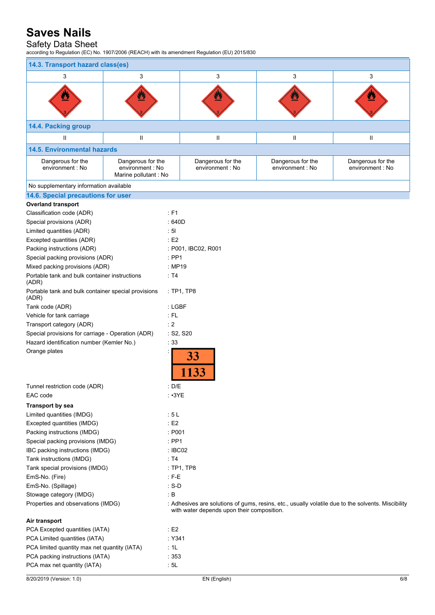### Safety Data Sheet

according to Regulation (EC) No. 1907/2006 (REACH) with its amendment Regulation (EU) 2015/830

| 14.3. Transport hazard class(es)                             |                                                                |                  |                                            |                                       |                                                                                                    |  |
|--------------------------------------------------------------|----------------------------------------------------------------|------------------|--------------------------------------------|---------------------------------------|----------------------------------------------------------------------------------------------------|--|
| 3                                                            | 3                                                              |                  | 3                                          | 3                                     | 3                                                                                                  |  |
|                                                              |                                                                |                  |                                            |                                       |                                                                                                    |  |
| 14.4. Packing group                                          |                                                                |                  |                                            |                                       |                                                                                                    |  |
| Ш                                                            | Ш                                                              |                  | Ш                                          | Ш                                     | Ш                                                                                                  |  |
| <b>14.5. Environmental hazards</b>                           |                                                                |                  |                                            |                                       |                                                                                                    |  |
| Dangerous for the<br>environment : No                        | Dangerous for the<br>environment : No<br>Marine pollutant : No |                  | Dangerous for the<br>environment : No      | Dangerous for the<br>environment : No | Dangerous for the<br>environment : No                                                              |  |
| No supplementary information available                       |                                                                |                  |                                            |                                       |                                                                                                    |  |
| 14.6. Special precautions for user                           |                                                                |                  |                                            |                                       |                                                                                                    |  |
| <b>Overland transport</b>                                    |                                                                |                  |                                            |                                       |                                                                                                    |  |
| Classification code (ADR)                                    |                                                                | $E$ F1           |                                            |                                       |                                                                                                    |  |
| Special provisions (ADR)                                     |                                                                | :640D            |                                            |                                       |                                                                                                    |  |
| Limited quantities (ADR)                                     |                                                                | : 51             |                                            |                                       |                                                                                                    |  |
| Excepted quantities (ADR)                                    |                                                                | $\div$ E2        |                                            |                                       |                                                                                                    |  |
| Packing instructions (ADR)                                   |                                                                |                  | : P001, IBC02, R001                        |                                       |                                                                                                    |  |
| Special packing provisions (ADR)                             |                                                                | $:$ PP1          |                                            |                                       |                                                                                                    |  |
| Mixed packing provisions (ADR)                               |                                                                | : MP19           |                                            |                                       |                                                                                                    |  |
| Portable tank and bulk container instructions<br>(ADR)       |                                                                | $\therefore$ T4  |                                            |                                       |                                                                                                    |  |
| Portable tank and bulk container special provisions<br>(ADR) |                                                                |                  | :TP1,TP8                                   |                                       |                                                                                                    |  |
| Tank code (ADR)                                              |                                                                | : LGBF           |                                            |                                       |                                                                                                    |  |
| Vehicle for tank carriage                                    |                                                                | $:$ FL           |                                            |                                       |                                                                                                    |  |
| Transport category (ADR)                                     |                                                                | $\div$ 2         |                                            |                                       |                                                                                                    |  |
| Special provisions for carriage - Operation (ADR)            |                                                                | : S2, S20        |                                            |                                       |                                                                                                    |  |
| Hazard identification number (Kemler No.)                    |                                                                | : 33             |                                            |                                       |                                                                                                    |  |
| Orange plates                                                |                                                                |                  | 33                                         |                                       |                                                                                                    |  |
| Tunnel restriction code (ADR)<br>EAC code                    |                                                                | : $D/E$<br>: 3YE |                                            |                                       |                                                                                                    |  |
| <b>Transport by sea</b>                                      |                                                                |                  |                                            |                                       |                                                                                                    |  |
| Limited quantities (IMDG)                                    |                                                                | : 5L             |                                            |                                       |                                                                                                    |  |
| Excepted quantities (IMDG)                                   |                                                                | E2               |                                            |                                       |                                                                                                    |  |
| Packing instructions (IMDG)<br>$\therefore$ P001             |                                                                |                  |                                            |                                       |                                                                                                    |  |
| Special packing provisions (IMDG)                            |                                                                |                  | $:$ PP1                                    |                                       |                                                                                                    |  |
| IBC packing instructions (IMDG)                              |                                                                |                  | : IBCO2                                    |                                       |                                                                                                    |  |
| Tank instructions (IMDG)<br>: T4                             |                                                                |                  |                                            |                                       |                                                                                                    |  |
| Tank special provisions (IMDG)                               |                                                                |                  | :TP1,TP8                                   |                                       |                                                                                                    |  |
| EmS-No. (Fire)                                               |                                                                | $:$ F-E          |                                            |                                       |                                                                                                    |  |
| EmS-No. (Spillage)                                           |                                                                | $: S-D$          |                                            |                                       |                                                                                                    |  |
| Stowage category (IMDG)                                      |                                                                | $\cdot$ B        |                                            |                                       |                                                                                                    |  |
| Properties and observations (IMDG)                           |                                                                |                  | with water depends upon their composition. |                                       | : Adhesives are solutions of gums, resins, etc., usually volatile due to the solvents. Miscibility |  |
| Air transport                                                |                                                                |                  |                                            |                                       |                                                                                                    |  |
| PCA Excepted quantities (IATA)                               |                                                                | $\cdot$ E2       |                                            |                                       |                                                                                                    |  |
| PCA Limited quantities (IATA)                                |                                                                | :Y341            |                                            |                                       |                                                                                                    |  |
| PCA limited quantity max net quantity (IATA)                 |                                                                | : 1L             |                                            |                                       |                                                                                                    |  |
| PCA packing instructions (IATA)                              |                                                                | :353             |                                            |                                       |                                                                                                    |  |

PCA max net quantity (IATA) **:** 5L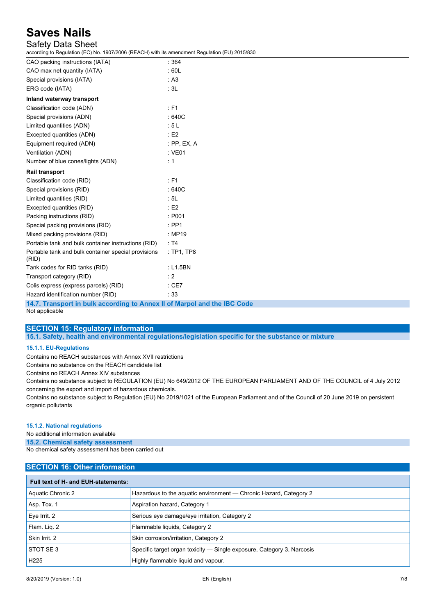### Safety Data Sheet

according to Regulation (EC) No. 1907/2006 (REACH) with its amendment Regulation (EU) 2015/830

| CAO packing instructions (IATA)                              | : 364       |
|--------------------------------------------------------------|-------------|
| CAO max net quantity (IATA)                                  | :60L        |
| Special provisions (IATA)                                    | : A3        |
| ERG code (IATA)                                              | : 3L        |
| Inland waterway transport                                    |             |
| Classification code (ADN)                                    | : F1        |
| Special provisions (ADN)                                     | :640C       |
| Limited quantities (ADN)                                     | :5L         |
| Excepted quantities (ADN)                                    | E2          |
| Equipment required (ADN)                                     | : PP, EX, A |
| Ventilation (ADN)                                            | $:$ VE01    |
| Number of blue cones/lights (ADN)                            | : 1         |
| <b>Rail transport</b>                                        |             |
| Classification code (RID)                                    | $E$ F1      |
| Special provisions (RID)                                     | :640C       |
| Limited quantities (RID)                                     | : 5L        |
| Excepted quantities (RID)                                    | E2          |
| Packing instructions (RID)                                   | : P001      |
| Special packing provisions (RID)                             | $:$ PP1     |
| Mixed packing provisions (RID)                               | : MP19      |
| Portable tank and bulk container instructions (RID)          | : T4        |
| Portable tank and bulk container special provisions<br>(RID) | : TP1, TP8  |
| Tank codes for RID tanks (RID)                               | : L1.5BN    |
| Transport category (RID)                                     | $\cdot$ 2   |
| Colis express (express parcels) (RID)                        | $:$ CE7     |
| Hazard identification number (RID)                           | :33         |

**14.7. Transport in bulk according to Annex II of Marpol and the IBC Code**

Not applicable

### **SECTION 15: Regulatory information**

**15.1. Safety, health and environmental regulations/legislation specific for the substance or mixture**

#### **15.1.1. EU-Regulations**

Contains no REACH substances with Annex XVII restrictions

Contains no substance on the REACH candidate list

Contains no REACH Annex XIV substances

Contains no substance subject to REGULATION (EU) No 649/2012 OF THE EUROPEAN PARLIAMENT AND OF THE COUNCIL of 4 July 2012 concerning the export and import of hazardous chemicals.

Contains no substance subject to Regulation (EU) No 2019/1021 of the European Parliament and of the Council of 20 June 2019 on persistent organic pollutants

#### **15.1.2. National regulations**

No additional information available

**15.2. Chemical safety assessment**

No chemical safety assessment has been carried out

| <b>SECTION 16: Other information</b> |                                                                        |  |  |
|--------------------------------------|------------------------------------------------------------------------|--|--|
| Full text of H- and EUH-statements:  |                                                                        |  |  |
| Aquatic Chronic 2                    | Hazardous to the aquatic environment - Chronic Hazard, Category 2      |  |  |
| Asp. Tox. 1                          | Aspiration hazard, Category 1                                          |  |  |
| Eve Irrit. 2                         | Serious eye damage/eye irritation, Category 2                          |  |  |
| Flam. Lig. 2                         | Flammable liquids, Category 2                                          |  |  |
| Skin Irrit. 2                        | Skin corrosion/irritation, Category 2                                  |  |  |
| STOT SE3                             | Specific target organ toxicity — Single exposure, Category 3, Narcosis |  |  |
| H <sub>225</sub>                     | Highly flammable liquid and vapour.                                    |  |  |